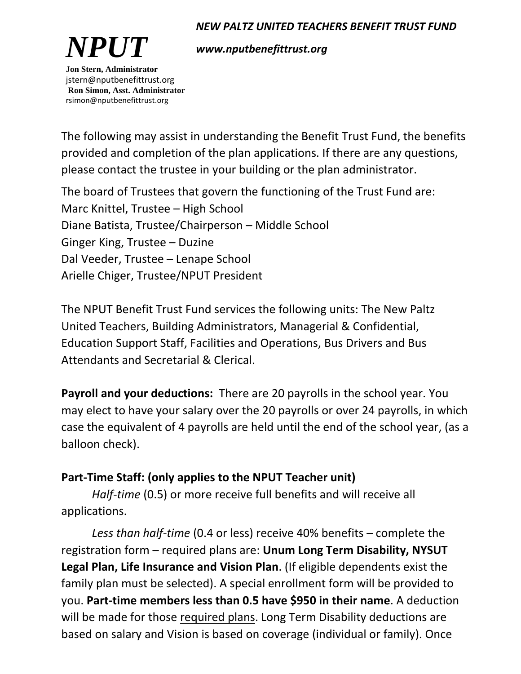#### *NEW PALTZ UNITED TEACHERS BENEFIT TRUST FUND*



*www.nputbenefittrust.org*

jstern@nputbenefittrust.org **Ron Simon, Asst. Administrator** rsimon@nputbenefittrust.org

The following may assist in understanding the Benefit Trust Fund, the benefits provided and completion of the plan applications. If there are any questions, please contact the trustee in your building or the plan administrator.

The board of Trustees that govern the functioning of the Trust Fund are: Marc Knittel, Trustee – High School Diane Batista, Trustee/Chairperson – Middle School Ginger King, Trustee – Duzine Dal Veeder, Trustee – Lenape School Arielle Chiger, Trustee/NPUT President

The NPUT Benefit Trust Fund services the following units: The New Paltz United Teachers, Building Administrators, Managerial & Confidential, Education Support Staff, Facilities and Operations, Bus Drivers and Bus Attendants and Secretarial & Clerical.

**Payroll and your deductions:** There are 20 payrolls in the school year. You may elect to have your salary over the 20 payrolls or over 24 payrolls, in which case the equivalent of 4 payrolls are held until the end of the school year, (as a balloon check).

### **Part-Time Staff: (only applies to the NPUT Teacher unit)**

*Half-time* (0.5) or more receive full benefits and will receive all applications.

*Less than half-time* (0.4 or less) receive 40% benefits – complete the registration form – required plans are: **Unum Long Term Disability, NYSUT Legal Plan, Life Insurance and Vision Plan**. (If eligible dependents exist the family plan must be selected). A special enrollment form will be provided to you. **Part-time members less than 0.5 have \$950 in their name**. A deduction will be made for those required plans. Long Term Disability deductions are based on salary and Vision is based on coverage (individual or family). Once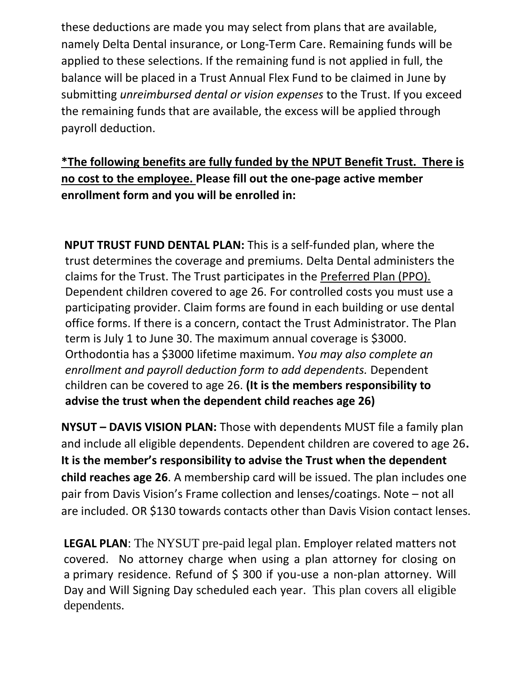these deductions are made you may select from plans that are available, namely Delta Dental insurance, or Long-Term Care. Remaining funds will be applied to these selections. If the remaining fund is not applied in full, the balance will be placed in a Trust Annual Flex Fund to be claimed in June by submitting *unreimbursed dental or vision expenses* to the Trust. If you exceed the remaining funds that are available, the excess will be applied through payroll deduction.

**\*The following benefits are fully funded by the NPUT Benefit Trust. There is no cost to the employee. Please fill out the one-page active member enrollment form and you will be enrolled in:**

**NPUT TRUST FUND DENTAL PLAN:** This is a self-funded plan, where the trust determines the coverage and premiums. Delta Dental administers the claims for the Trust. The Trust participates in the Preferred Plan (PPO). Dependent children covered to age 26. For controlled costs you must use a participating provider. Claim forms are found in each building or use dental office forms. If there is a concern, contact the Trust Administrator. The Plan term is July 1 to June 30. The maximum annual coverage is \$3000. Orthodontia has a \$3000 lifetime maximum. Y*ou may also complete an enrollment and payroll deduction form to add dependents.* Dependent children can be covered to age 26. **(It is the members responsibility to advise the trust when the dependent child reaches age 26)** 

**NYSUT – DAVIS VISION PLAN:** Those with dependents MUST file a family plan and include all eligible dependents. Dependent children are covered to age 26**. It is the member's responsibility to advise the Trust when the dependent child reaches age 26**. A membership card will be issued. The plan includes one pair from Davis Vision's Frame collection and lenses/coatings. Note – not all are included. OR \$130 towards contacts other than Davis Vision contact lenses.

**LEGAL PLAN**: The NYSUT pre-paid legal plan. Employer related matters not covered. No attorney charge when using a plan attorney for closing on a primary residence. Refund of \$ 300 if you-use a non-plan attorney. Will Day and Will Signing Day scheduled each year. This plan covers all eligible dependents.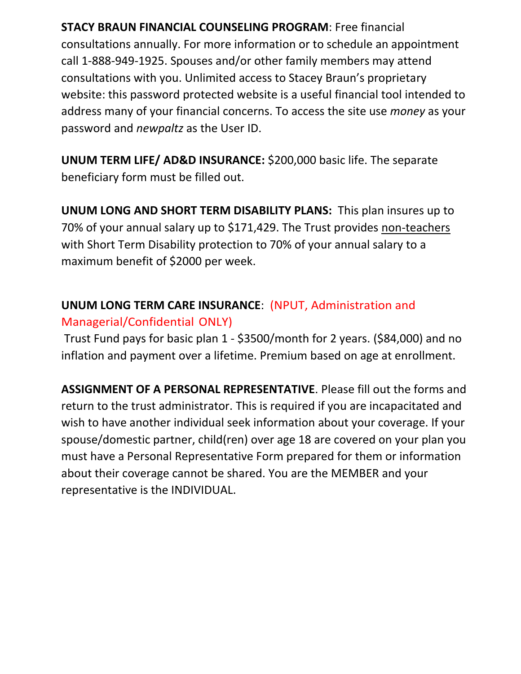**STACY BRAUN FINANCIAL COUNSELING PROGRAM**: Free financial consultations annually. For more information or to schedule an appointment call 1-888-949-1925. Spouses and/or other family members may attend consultations with you. Unlimited access to Stacey Braun's proprietary website: this password protected website is a useful financial tool intended to address many of your financial concerns. To access the site use *money* as your password and *newpaltz* as the User ID.

**UNUM TERM LIFE/ AD&D INSURANCE:** \$200,000 basic life. The separate beneficiary form must be filled out.

**UNUM LONG AND SHORT TERM DISABILITY PLANS:** This plan insures up to 70% of your annual salary up to \$171,429. The Trust provides non-teachers with Short Term Disability protection to 70% of your annual salary to a maximum benefit of \$2000 per week.

## **UNUM LONG TERM CARE INSURANCE**: (NPUT, Administration and Managerial/Confidential ONLY)

Trust Fund pays for basic plan 1 - \$3500/month for 2 years. (\$84,000) and no inflation and payment over a lifetime. Premium based on age at enrollment.

**ASSIGNMENT OF A PERSONAL REPRESENTATIVE**. Please fill out the forms and return to the trust administrator. This is required if you are incapacitated and wish to have another individual seek information about your coverage. If your spouse/domestic partner, child(ren) over age 18 are covered on your plan you must have a Personal Representative Form prepared for them or information about their coverage cannot be shared. You are the MEMBER and your representative is the INDIVIDUAL.